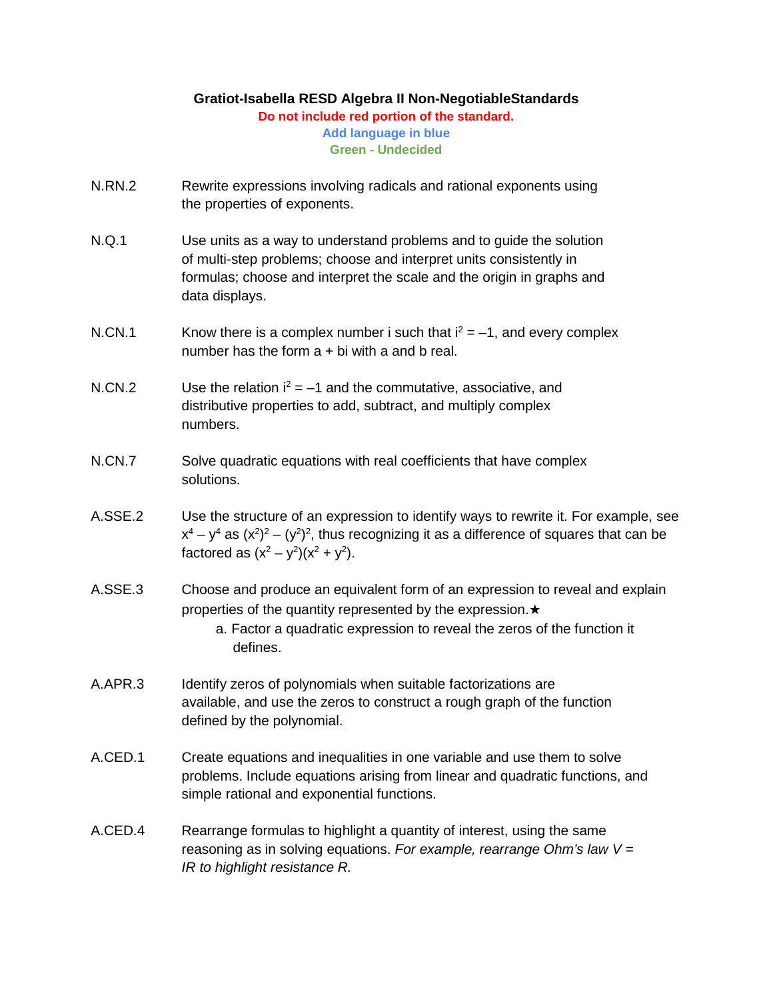## **Gratiot-Isabella RESD Algebra II Non-NegotiableStandards**

**Do not include red portion of the standard.**

**Add language in blue Green - Undecided**

- N.RN.2 Rewrite expressions involving radicals and rational exponents using the properties of exponents.
- N.Q.1 Use units as a way to understand problems and to guide the solution of multi-step problems; choose and interpret units consistently in formulas; choose and interpret the scale and the origin in graphs and data displays.
- N.CN.1 Know there is a complex number i such that  $i^2 = -1$ , and every complex number has the form  $a + bi$  with a and b real.
- N.CN.2 Use the relation  $i^2 = -1$  and the commutative, associative, and distributive properties to add, subtract, and multiply complex numbers.
- N.CN.7 Solve quadratic equations with real coefficients that have complex solutions.
- A.SSE.2 Use the structure of an expression to identify ways to rewrite it. For example, see  $x^4 - y^4$  as  $(x^2)^2 - (y^2)^2$ , thus recognizing it as a difference of squares that can be factored as  $(x^2 - y^2)(x^2 + y^2)$ .
- A.SSE.3 Choose and produce an equivalent form of an expression to reveal and explain properties of the quantity represented by the expression.★
	- a. Factor a quadratic expression to reveal the zeros of the function it defines.
- A.APR.3 Identify zeros of polynomials when suitable factorizations are available, and use the zeros to construct a rough graph of the function defined by the polynomial.
- A.CED.1 Create equations and inequalities in one variable and use them to solve problems. Include equations arising from linear and quadratic functions, and simple rational and exponential functions.
- A.CED.4 Rearrange formulas to highlight a quantity of interest, using the same reasoning as in solving equations. *For example, rearrange Ohm's law V = IR to highlight resistance R.*